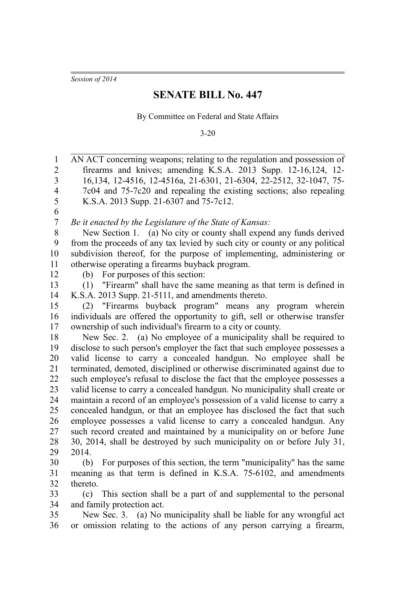*Session of 2014*

## **SENATE BILL No. 447**

By Committee on Federal and State Affairs

3-20

| 1              | AN ACT concerning weapons; relating to the regulation and possession of     |
|----------------|-----------------------------------------------------------------------------|
| $\overline{2}$ | firearms and knives; amending K.S.A. 2013 Supp. 12-16,124, 12-              |
| 3              | 16, 134, 12-4516, 12-4516a, 21-6301, 21-6304, 22-2512, 32-1047, 75-         |
| 4              | 7c04 and 75-7c20 and repealing the existing sections; also repealing        |
| 5              | K.S.A. 2013 Supp. 21-6307 and 75-7c12.                                      |
| 6              |                                                                             |
| $\overline{7}$ | Be it enacted by the Legislature of the State of Kansas:                    |
| 8              | New Section 1. (a) No city or county shall expend any funds derived         |
| 9              | from the proceeds of any tax levied by such city or county or any political |
| 10             | subdivision thereof, for the purpose of implementing, administering or      |
| 11             | otherwise operating a firearms buyback program.                             |
| 12             | For purposes of this section:<br>(b)                                        |
| 13             | (1) "Firearm" shall have the same meaning as that term is defined in        |
| 14             | K.S.A. 2013 Supp. 21-5111, and amendments thereto.                          |
| 15             | "Firearms buyback program" means any program wherein<br>(2)                 |
| 16             | individuals are offered the opportunity to gift, sell or otherwise transfer |
| 17             | ownership of such individual's firearm to a city or county.                 |
| 18             | New Sec. 2. (a) No employee of a municipality shall be required to          |
| 19             | disclose to such person's employer the fact that such employee possesses a  |
| 20             | valid license to carry a concealed handgun. No employee shall be            |
| 21             | terminated, demoted, disciplined or otherwise discriminated against due to  |
| 22             | such employee's refusal to disclose the fact that the employee possesses a  |
| 23             | valid license to carry a concealed handgun. No municipality shall create or |
| 24             | maintain a record of an employee's possession of a valid license to carry a |
| 25             | concealed handgun, or that an employee has disclosed the fact that such     |
| 26             | employee possesses a valid license to carry a concealed handgun. Any        |
| 27             | such record created and maintained by a municipality on or before June      |
| 28             | 30, 2014, shall be destroyed by such municipality on or before July 31,     |
| 29             | 2014.                                                                       |
| 30             | For purposes of this section, the term "municipality" has the same<br>(b)   |
| 31             | meaning as that term is defined in K.S.A. 75-6102, and amendments           |
| 32             | thereto.                                                                    |
| 33             | This section shall be a part of and supplemental to the personal<br>(c)     |
| 34             | and family protection act.                                                  |
| 35             | New Sec. 3. (a) No municipality shall be liable for any wrongful act        |
| 36             | or omission relating to the actions of any person carrying a firearm,       |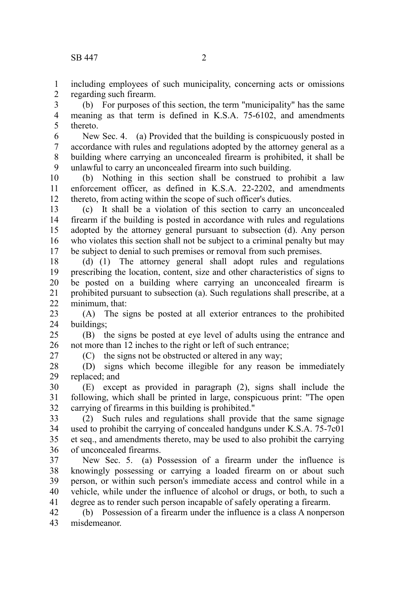including employees of such municipality, concerning acts or omissions regarding such firearm. 1 2

(b) For purposes of this section, the term "municipality" has the same meaning as that term is defined in K.S.A. 75-6102, and amendments thereto. 3 4 5

New Sec. 4. (a) Provided that the building is conspicuously posted in accordance with rules and regulations adopted by the attorney general as a building where carrying an unconcealed firearm is prohibited, it shall be unlawful to carry an unconcealed firearm into such building. 6 7 8 9

(b) Nothing in this section shall be construed to prohibit a law enforcement officer, as defined in K.S.A. 22-2202, and amendments thereto, from acting within the scope of such officer's duties. 10 11 12

(c) It shall be a violation of this section to carry an unconcealed firearm if the building is posted in accordance with rules and regulations adopted by the attorney general pursuant to subsection (d). Any person who violates this section shall not be subject to a criminal penalty but may be subject to denial to such premises or removal from such premises. 13 14 15 16 17

(d) (1) The attorney general shall adopt rules and regulations prescribing the location, content, size and other characteristics of signs to be posted on a building where carrying an unconcealed firearm is prohibited pursuant to subsection (a). Such regulations shall prescribe, at a minimum, that: 18 19 20 21 22

(A) The signs be posted at all exterior entrances to the prohibited buildings; 23 24

(B) the signs be posted at eye level of adults using the entrance and not more than 12 inches to the right or left of such entrance; 25 26

27

(C) the signs not be obstructed or altered in any way;

(D) signs which become illegible for any reason be immediately replaced; and 28 29

(E) except as provided in paragraph (2), signs shall include the following, which shall be printed in large, conspicuous print: "The open carrying of firearms in this building is prohibited." 30 31 32

(2) Such rules and regulations shall provide that the same signage used to prohibit the carrying of concealed handguns under K.S.A. 75-7c01 et seq., and amendments thereto, may be used to also prohibit the carrying of unconcealed firearms. 33 34 35 36

New Sec. 5. (a) Possession of a firearm under the influence is knowingly possessing or carrying a loaded firearm on or about such person, or within such person's immediate access and control while in a vehicle, while under the influence of alcohol or drugs, or both, to such a degree as to render such person incapable of safely operating a firearm. 37 38 39 40 41

(b) Possession of a firearm under the influence is a class A nonperson misdemeanor. 42 43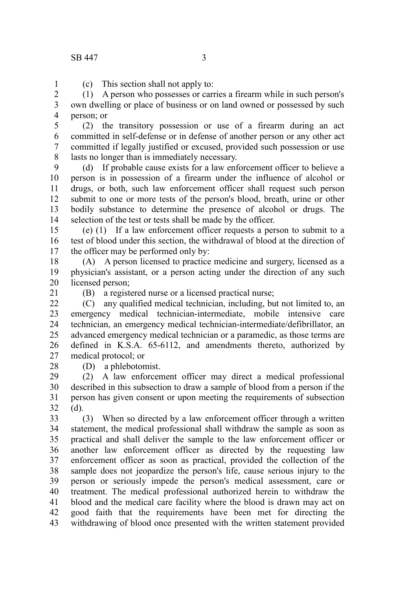1

(c) This section shall not apply to:

(1) A person who possesses or carries a firearm while in such person's own dwelling or place of business or on land owned or possessed by such person; or 2 3 4

(2) the transitory possession or use of a firearm during an act committed in self-defense or in defense of another person or any other act committed if legally justified or excused, provided such possession or use lasts no longer than is immediately necessary. 5 6 7 8

(d) If probable cause exists for a law enforcement officer to believe a person is in possession of a firearm under the influence of alcohol or drugs, or both, such law enforcement officer shall request such person submit to one or more tests of the person's blood, breath, urine or other bodily substance to determine the presence of alcohol or drugs. The selection of the test or tests shall be made by the officer. 9 10 11 12 13 14

(e) (1) If a law enforcement officer requests a person to submit to a test of blood under this section, the withdrawal of blood at the direction of the officer may be performed only by: 15 16 17

(A) A person licensed to practice medicine and surgery, licensed as a physician's assistant, or a person acting under the direction of any such licensed person; 18 19 20

21

28

(B) a registered nurse or a licensed practical nurse;

(C) any qualified medical technician, including, but not limited to, an emergency medical technician-intermediate, mobile intensive care technician, an emergency medical technician-intermediate/defibrillator, an advanced emergency medical technician or a paramedic, as those terms are defined in K.S.A. 65-6112, and amendments thereto, authorized by medical protocol; or  $22$ 23 24 25 26 27

(D) a phlebotomist.

(2) A law enforcement officer may direct a medical professional described in this subsection to draw a sample of blood from a person if the person has given consent or upon meeting the requirements of subsection (d). 29 30 31 32

(3) When so directed by a law enforcement officer through a written statement, the medical professional shall withdraw the sample as soon as practical and shall deliver the sample to the law enforcement officer or another law enforcement officer as directed by the requesting law enforcement officer as soon as practical, provided the collection of the sample does not jeopardize the person's life, cause serious injury to the person or seriously impede the person's medical assessment, care or treatment. The medical professional authorized herein to withdraw the blood and the medical care facility where the blood is drawn may act on good faith that the requirements have been met for directing the withdrawing of blood once presented with the written statement provided 33 34 35 36 37 38 39 40 41 42 43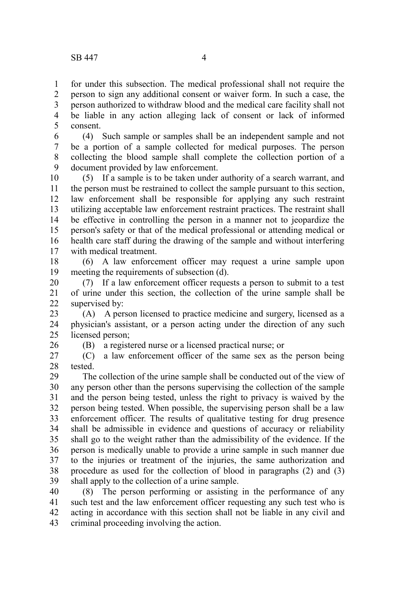26

for under this subsection. The medical professional shall not require the person to sign any additional consent or waiver form. In such a case, the person authorized to withdraw blood and the medical care facility shall not be liable in any action alleging lack of consent or lack of informed consent. 1 2 3 4 5

(4) Such sample or samples shall be an independent sample and not be a portion of a sample collected for medical purposes. The person collecting the blood sample shall complete the collection portion of a document provided by law enforcement. 6 7 8 9

(5) If a sample is to be taken under authority of a search warrant, and the person must be restrained to collect the sample pursuant to this section, law enforcement shall be responsible for applying any such restraint utilizing acceptable law enforcement restraint practices. The restraint shall be effective in controlling the person in a manner not to jeopardize the person's safety or that of the medical professional or attending medical or health care staff during the drawing of the sample and without interfering with medical treatment. 10 11 12 13 14 15 16 17

(6) A law enforcement officer may request a urine sample upon meeting the requirements of subsection (d). 18 19

(7) If a law enforcement officer requests a person to submit to a test of urine under this section, the collection of the urine sample shall be supervised by: 20 21 22

(A) A person licensed to practice medicine and surgery, licensed as a physician's assistant, or a person acting under the direction of any such licensed person; 23 24 25

(B) a registered nurse or a licensed practical nurse; or

(C) a law enforcement officer of the same sex as the person being tested. 27 28

The collection of the urine sample shall be conducted out of the view of any person other than the persons supervising the collection of the sample and the person being tested, unless the right to privacy is waived by the person being tested. When possible, the supervising person shall be a law enforcement officer. The results of qualitative testing for drug presence shall be admissible in evidence and questions of accuracy or reliability shall go to the weight rather than the admissibility of the evidence. If the person is medically unable to provide a urine sample in such manner due to the injuries or treatment of the injuries, the same authorization and procedure as used for the collection of blood in paragraphs (2) and (3) shall apply to the collection of a urine sample. 29 30 31 32 33 34 35 36 37 38 39

(8) The person performing or assisting in the performance of any such test and the law enforcement officer requesting any such test who is acting in accordance with this section shall not be liable in any civil and criminal proceeding involving the action. 40 41 42 43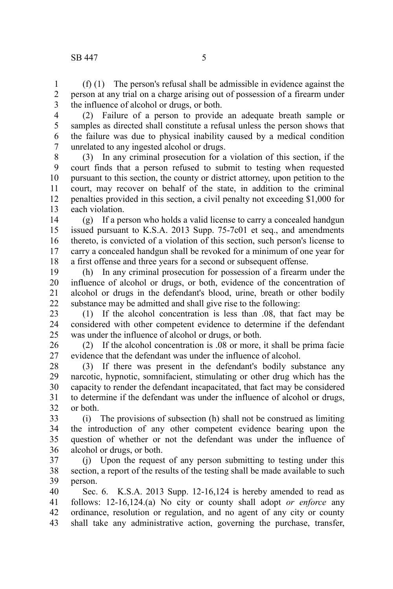(f) (1) The person's refusal shall be admissible in evidence against the person at any trial on a charge arising out of possession of a firearm under the influence of alcohol or drugs, or both. 1 2 3

4

(2) Failure of a person to provide an adequate breath sample or samples as directed shall constitute a refusal unless the person shows that the failure was due to physical inability caused by a medical condition unrelated to any ingested alcohol or drugs. 5 6 7

(3) In any criminal prosecution for a violation of this section, if the court finds that a person refused to submit to testing when requested pursuant to this section, the county or district attorney, upon petition to the court, may recover on behalf of the state, in addition to the criminal penalties provided in this section, a civil penalty not exceeding \$1,000 for each violation. 8 9 10 11 12 13

(g) If a person who holds a valid license to carry a concealed handgun issued pursuant to K.S.A. 2013 Supp. 75-7c01 et seq., and amendments thereto, is convicted of a violation of this section, such person's license to carry a concealed handgun shall be revoked for a minimum of one year for a first offense and three years for a second or subsequent offense. 14 15 16 17 18

(h) In any criminal prosecution for possession of a firearm under the influence of alcohol or drugs, or both, evidence of the concentration of alcohol or drugs in the defendant's blood, urine, breath or other bodily substance may be admitted and shall give rise to the following: 19 20 21 22

(1) If the alcohol concentration is less than .08, that fact may be considered with other competent evidence to determine if the defendant was under the influence of alcohol or drugs, or both. 23 24 25

(2) If the alcohol concentration is .08 or more, it shall be prima facie evidence that the defendant was under the influence of alcohol. 26 27

(3) If there was present in the defendant's bodily substance any narcotic, hypnotic, somnifacient, stimulating or other drug which has the capacity to render the defendant incapacitated, that fact may be considered to determine if the defendant was under the influence of alcohol or drugs, or both. 28 29 30 31 32

(i) The provisions of subsection (h) shall not be construed as limiting the introduction of any other competent evidence bearing upon the question of whether or not the defendant was under the influence of alcohol or drugs, or both. 33 34 35 36

(j) Upon the request of any person submitting to testing under this section, a report of the results of the testing shall be made available to such person. 37 38 39

Sec. 6. K.S.A. 2013 Supp. 12-16,124 is hereby amended to read as follows: 12-16,124.(a) No city or county shall adopt *or enforce* any ordinance, resolution or regulation, and no agent of any city or county shall take any administrative action, governing the purchase, transfer, 40 41 42 43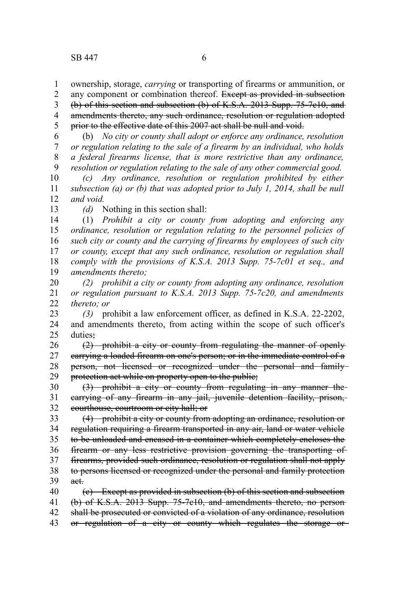ownership, storage, *carrying* or transporting of firearms or ammunition, or 1

any component or combination thereof. Except as provided in subsection (b) of this section and subsection (b) of K.S.A. 2013 Supp. 75-7c10, and amendments thereto, any such ordinance, resolution or regulation adopted prior to the effective date of this 2007 act shall be null and void. 2 3 4 5

(b) *No city or county shall adopt or enforce any ordinance, resolution or regulation relating to the sale of a firearm by an individual, who holds a federal firearms license, that is more restrictive than any ordinance, resolution or regulation relating to the sale of any other commercial good.* 6 7 8 9

*(c) Any ordinance, resolution or regulation prohibited by either subsection (a) or (b) that was adopted prior to July 1, 2014, shall be null and void.* 10 11 12

13

*(d)* Nothing in this section shall:

(1) *Prohibit a city or county from adopting and enforcing any ordinance, resolution or regulation relating to the personnel policies of such city or county and the carrying of firearms by employees of such city or county, except that any such ordinance, resolution or regulation shall comply with the provisions of K.S.A. 2013 Supp. 75-7c01 et seq., and amendments thereto;* 14 15 16 17 18 19

*(2) prohibit a city or county from adopting any ordinance, resolution or regulation pursuant to K.S.A. 2013 Supp. 75-7c20, and amendments thereto; or* 20 21 22

*(3)* prohibit a law enforcement officer, as defined in K.S.A. 22-2202, and amendments thereto, from acting within the scope of such officer's duties: 23 24 25

(2) prohibit a city or county from regulating the manner of openly carrying a loaded firearm on one's person; or in the immediate control of a person, not licensed or recognized under the personal and family protection act while on property open to the public; 26 27 28 29

(3) prohibit a city or county from regulating in any manner the carrying of any firearm in any jail, juvenile detention facility, prison, courthouse, courtroom or city hall; or 30 31 32

(4) prohibit a city or county from adopting an ordinance, resolution or regulation requiring a firearm transported in any air, land or water vehicle to be unloaded and encased in a container which completely encloses the firearm or any less restrictive provision governing the transporting of firearms, provided such ordinance, resolution or regulation shall not apply to persons licensed or recognized under the personal and family protection act. (c) Except as provided in subsection (b) of this section and subsection 33 34 35 36 37 38 39 40

- (b) of K.S.A. 2013 Supp. 75-7c10, and amendments thereto, no person shall be prosecuted or convicted of a violation of any ordinance, resolution 41 42
- or regulation of a city or county which regulates the storage or 43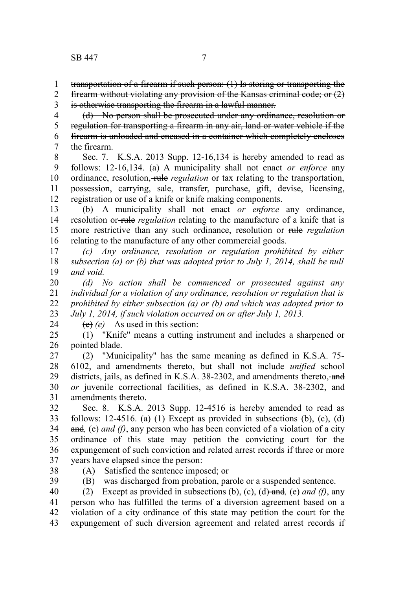1 2

is otherwise transporting the firearm in a lawful manner. 3

(d) No person shall be prosecuted under any ordinance, resolution or regulation for transporting a firearm in any air, land or water vehicle if the firearm is unloaded and encased in a container which completely encloses the firearm. 4 5 6 7

Sec. 7. K.S.A. 2013 Supp. 12-16,134 is hereby amended to read as follows: 12-16,134. (a) A municipality shall not enact *or enforce* any ordinance, resolution, *rule regulation* or tax relating to the transportation, possession, carrying, sale, transfer, purchase, gift, devise, licensing, registration or use of a knife or knife making components. 8 9 10 11 12

(b) A municipality shall not enact *or enforce* any ordinance, resolution or-rule *regulation* relating to the manufacture of a knife that is more restrictive than any such ordinance, resolution or rule *regulation* relating to the manufacture of any other commercial goods. 13 14 15 16

*(c) Any ordinance, resolution or regulation prohibited by either subsection (a) or (b) that was adopted prior to July 1, 2014, shall be null and void.* 17 18 19

*(d) No action shall be commenced or prosecuted against any individual for a violation of any ordinance, resolution or regulation that is prohibited by either subsection (a) or (b) and which was adopted prior to July 1, 2014, if such violation occurred on or after July 1, 2013.* 20 21 22 23

24

(c) *(e)* As used in this section:

(1) "Knife" means a cutting instrument and includes a sharpened or pointed blade. 25 26

(2) "Municipality" has the same meaning as defined in K.S.A. 75- 6102, and amendments thereto, but shall not include *unified* school districts, jails, as defined in K.S.A. 38-2302, and amendments thereto, and *or* juvenile correctional facilities, as defined in K.S.A. 38-2302, and amendments thereto. 27 28 29 30 31

Sec. 8. K.S.A. 2013 Supp. 12-4516 is hereby amended to read as follows:  $12-4516$ . (a)  $(1)$  Except as provided in subsections  $(b)$ ,  $(c)$ ,  $(d)$ and*,* (e) *and (f)*, any person who has been convicted of a violation of a city ordinance of this state may petition the convicting court for the expungement of such conviction and related arrest records if three or more years have elapsed since the person: 32 33 34 35 36 37

38

(A) Satisfied the sentence imposed; or

(B) was discharged from probation, parole or a suspended sentence. 39

(2) Except as provided in subsections (b), (c), (d) and*,* (e) *and (f)*, any person who has fulfilled the terms of a diversion agreement based on a violation of a city ordinance of this state may petition the court for the expungement of such diversion agreement and related arrest records if 40 41 42 43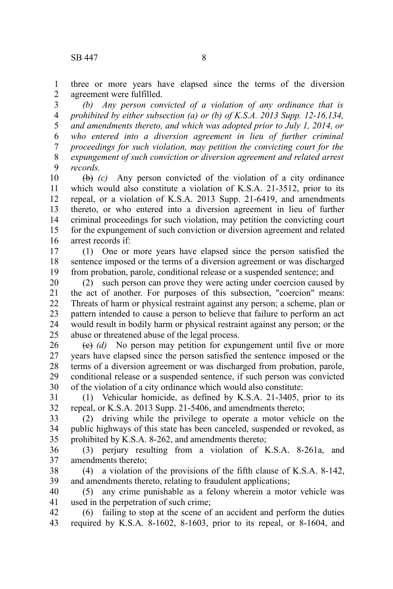three or more years have elapsed since the terms of the diversion agreement were fulfilled. 1 2

*(b) Any person convicted of a violation of any ordinance that is prohibited by either subsection (a) or (b) of K.S.A. 2013 Supp. 12-16,134, and amendments thereto, and which was adopted prior to July 1, 2014, or who entered into a diversion agreement in lieu of further criminal proceedings for such violation, may petition the convicting court for the expungement of such conviction or diversion agreement and related arrest records.* 3 4 5 6 7 8 9

(b) *(c)* Any person convicted of the violation of a city ordinance which would also constitute a violation of K.S.A. 21-3512, prior to its repeal, or a violation of K.S.A. 2013 Supp. 21-6419, and amendments thereto, or who entered into a diversion agreement in lieu of further criminal proceedings for such violation, may petition the convicting court for the expungement of such conviction or diversion agreement and related arrest records if: 10 11 12 13 14 15 16

(1) One or more years have elapsed since the person satisfied the sentence imposed or the terms of a diversion agreement or was discharged from probation, parole, conditional release or a suspended sentence; and 17 18 19

(2) such person can prove they were acting under coercion caused by the act of another. For purposes of this subsection, "coercion" means: Threats of harm or physical restraint against any person; a scheme, plan or pattern intended to cause a person to believe that failure to perform an act would result in bodily harm or physical restraint against any person; or the abuse or threatened abuse of the legal process. 20 21 22 23 24 25

(c) *(d)* No person may petition for expungement until five or more years have elapsed since the person satisfied the sentence imposed or the terms of a diversion agreement or was discharged from probation, parole, conditional release or a suspended sentence, if such person was convicted of the violation of a city ordinance which would also constitute: 26 27 28 29 30

(1) Vehicular homicide, as defined by K.S.A. 21-3405, prior to its repeal, or K.S.A. 2013 Supp. 21-5406, and amendments thereto; 31 32

(2) driving while the privilege to operate a motor vehicle on the public highways of this state has been canceled, suspended or revoked, as prohibited by K.S.A. 8-262, and amendments thereto; 33 34 35

(3) perjury resulting from a violation of K.S.A. 8-261a, and amendments thereto; 36 37

(4) a violation of the provisions of the fifth clause of K.S.A. 8-142, and amendments thereto, relating to fraudulent applications; 38 39

(5) any crime punishable as a felony wherein a motor vehicle was used in the perpetration of such crime; 40 41

(6) failing to stop at the scene of an accident and perform the duties required by K.S.A. 8-1602, 8-1603, prior to its repeal, or 8-1604, and 42 43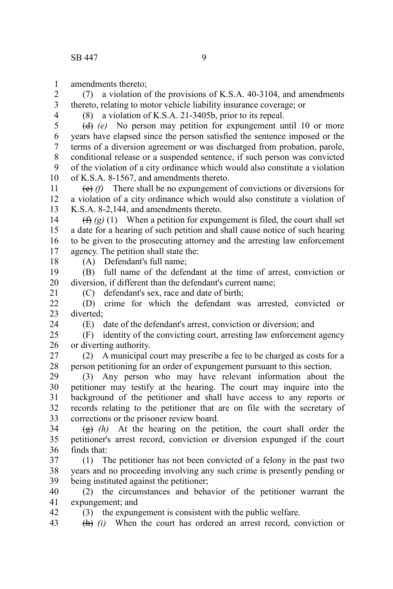amendments thereto; 1

(7) a violation of the provisions of K.S.A. 40-3104, and amendments thereto, relating to motor vehicle liability insurance coverage; or 2 3

4

(8) a violation of K.S.A. 21-3405b, prior to its repeal.

(d) *(e)* No person may petition for expungement until 10 or more years have elapsed since the person satisfied the sentence imposed or the terms of a diversion agreement or was discharged from probation, parole, conditional release or a suspended sentence, if such person was convicted of the violation of a city ordinance which would also constitute a violation of K.S.A. 8-1567, and amendments thereto. 5 6 7 8 9 10

(e) *(f)* There shall be no expungement of convictions or diversions for a violation of a city ordinance which would also constitute a violation of K.S.A. 8-2,144, and amendments thereto. 11 12 13

 $(f)$   $(g)$  (1) When a petition for expungement is filed, the court shall set a date for a hearing of such petition and shall cause notice of such hearing to be given to the prosecuting attorney and the arresting law enforcement agency. The petition shall state the: 14 15 16 17

18

21

24

42

(A) Defendant's full name;

(B) full name of the defendant at the time of arrest, conviction or diversion, if different than the defendant's current name; 19 20

(C) defendant's sex, race and date of birth;

(D) crime for which the defendant was arrested, convicted or diverted;  $22$ 23

(E) date of the defendant's arrest, conviction or diversion; and

(F) identity of the convicting court, arresting law enforcement agency or diverting authority.  $25$ 26

(2) A municipal court may prescribe a fee to be charged as costs for a person petitioning for an order of expungement pursuant to this section. 27 28

(3) Any person who may have relevant information about the petitioner may testify at the hearing. The court may inquire into the background of the petitioner and shall have access to any reports or records relating to the petitioner that are on file with the secretary of corrections or the prisoner review board. 29 30 31 32 33

(g) *(h)* At the hearing on the petition, the court shall order the petitioner's arrest record, conviction or diversion expunged if the court finds that: 34 35 36

(1) The petitioner has not been convicted of a felony in the past two years and no proceeding involving any such crime is presently pending or being instituted against the petitioner; 37 38 39

(2) the circumstances and behavior of the petitioner warrant the expungement; and 40 41

(3) the expungement is consistent with the public welfare.

(h) *(i)* When the court has ordered an arrest record, conviction or 43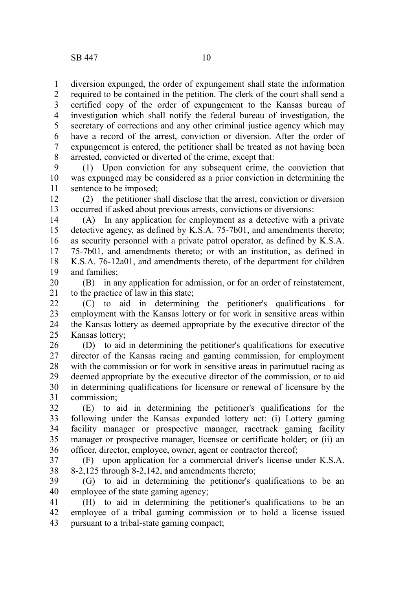diversion expunged, the order of expungement shall state the information required to be contained in the petition. The clerk of the court shall send a certified copy of the order of expungement to the Kansas bureau of investigation which shall notify the federal bureau of investigation, the secretary of corrections and any other criminal justice agency which may have a record of the arrest, conviction or diversion. After the order of expungement is entered, the petitioner shall be treated as not having been arrested, convicted or diverted of the crime, except that: 1 2 3 4 5 6 7 8

(1) Upon conviction for any subsequent crime, the conviction that was expunged may be considered as a prior conviction in determining the sentence to be imposed; 9 10 11

(2) the petitioner shall disclose that the arrest, conviction or diversion occurred if asked about previous arrests, convictions or diversions: 12 13

(A) In any application for employment as a detective with a private detective agency, as defined by K.S.A. 75-7b01, and amendments thereto; as security personnel with a private patrol operator, as defined by K.S.A. 75-7b01, and amendments thereto; or with an institution, as defined in K.S.A. 76-12a01, and amendments thereto, of the department for children and families; 14 15 16 17 18 19

(B) in any application for admission, or for an order of reinstatement, to the practice of law in this state; 20 21

(C) to aid in determining the petitioner's qualifications for employment with the Kansas lottery or for work in sensitive areas within the Kansas lottery as deemed appropriate by the executive director of the Kansas lottery; 22 23 24 25

(D) to aid in determining the petitioner's qualifications for executive director of the Kansas racing and gaming commission, for employment with the commission or for work in sensitive areas in parimutuel racing as deemed appropriate by the executive director of the commission, or to aid in determining qualifications for licensure or renewal of licensure by the commission; 26 27 28 29 30 31

(E) to aid in determining the petitioner's qualifications for the following under the Kansas expanded lottery act: (i) Lottery gaming facility manager or prospective manager, racetrack gaming facility manager or prospective manager, licensee or certificate holder; or (ii) an officer, director, employee, owner, agent or contractor thereof; 32 33 34 35 36

(F) upon application for a commercial driver's license under K.S.A. 8-2,125 through 8-2,142, and amendments thereto; 37 38

(G) to aid in determining the petitioner's qualifications to be an employee of the state gaming agency; 39 40

(H) to aid in determining the petitioner's qualifications to be an employee of a tribal gaming commission or to hold a license issued pursuant to a tribal-state gaming compact; 41 42 43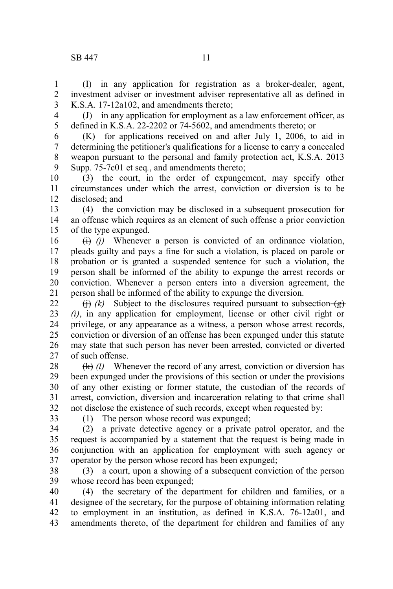## SB 447 11

(I) in any application for registration as a broker-dealer, agent, investment adviser or investment adviser representative all as defined in K.S.A. 17-12a102, and amendments thereto; 1 2 3

4 5

(J) in any application for employment as a law enforcement officer, as defined in K.S.A. 22-2202 or 74-5602, and amendments thereto; or

(K) for applications received on and after July 1, 2006, to aid in determining the petitioner's qualifications for a license to carry a concealed weapon pursuant to the personal and family protection act, K.S.A. 2013 Supp. 75-7c01 et seq*.*, and amendments thereto; 6 7 8 9

(3) the court, in the order of expungement, may specify other circumstances under which the arrest, conviction or diversion is to be disclosed; and 10 11 12

(4) the conviction may be disclosed in a subsequent prosecution for an offense which requires as an element of such offense a prior conviction of the type expunged. 13 14 15

(i) *(j)* Whenever a person is convicted of an ordinance violation, pleads guilty and pays a fine for such a violation, is placed on parole or probation or is granted a suspended sentence for such a violation, the person shall be informed of the ability to expunge the arrest records or conviction. Whenever a person enters into a diversion agreement, the person shall be informed of the ability to expunge the diversion. 16 17 18 19 20 21

 $(h)$  *(k)* Subject to the disclosures required pursuant to subsection  $(e)$ *(i)*, in any application for employment, license or other civil right or privilege, or any appearance as a witness, a person whose arrest records, conviction or diversion of an offense has been expunged under this statute may state that such person has never been arrested, convicted or diverted of such offense. 22 23 24 25 26 27

(k) *(l)* Whenever the record of any arrest, conviction or diversion has been expunged under the provisions of this section or under the provisions of any other existing or former statute, the custodian of the records of arrest, conviction, diversion and incarceration relating to that crime shall not disclose the existence of such records, except when requested by: 28 29 30 31 32

33

(1) The person whose record was expunged;

(2) a private detective agency or a private patrol operator, and the request is accompanied by a statement that the request is being made in conjunction with an application for employment with such agency or operator by the person whose record has been expunged; 34 35 36 37

(3) a court, upon a showing of a subsequent conviction of the person whose record has been expunged; 38 39

(4) the secretary of the department for children and families, or a designee of the secretary, for the purpose of obtaining information relating to employment in an institution, as defined in K.S.A. 76-12a01, and amendments thereto, of the department for children and families of any 40 41 42 43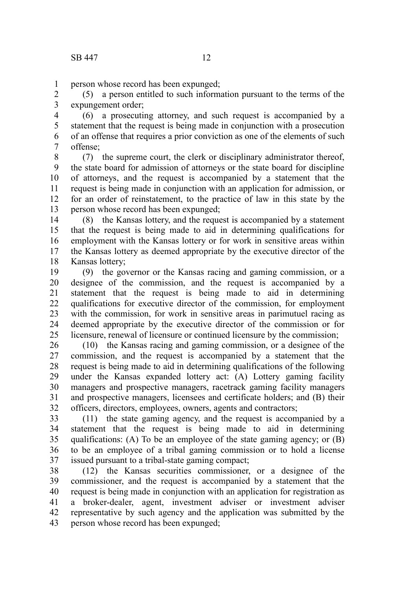1

person whose record has been expunged;

(5) a person entitled to such information pursuant to the terms of the expungement order; 2 3

(6) a prosecuting attorney, and such request is accompanied by a statement that the request is being made in conjunction with a prosecution of an offense that requires a prior conviction as one of the elements of such offense; 4 5 6 7

(7) the supreme court, the clerk or disciplinary administrator thereof, the state board for admission of attorneys or the state board for discipline of attorneys, and the request is accompanied by a statement that the request is being made in conjunction with an application for admission, or for an order of reinstatement, to the practice of law in this state by the person whose record has been expunged; 8 9 10 11 12 13

(8) the Kansas lottery, and the request is accompanied by a statement that the request is being made to aid in determining qualifications for employment with the Kansas lottery or for work in sensitive areas within the Kansas lottery as deemed appropriate by the executive director of the Kansas lottery; 14 15 16 17 18

(9) the governor or the Kansas racing and gaming commission, or a designee of the commission, and the request is accompanied by a statement that the request is being made to aid in determining qualifications for executive director of the commission, for employment with the commission, for work in sensitive areas in parimutuel racing as deemed appropriate by the executive director of the commission or for licensure, renewal of licensure or continued licensure by the commission; 19 20 21 22 23 24 25

(10) the Kansas racing and gaming commission, or a designee of the commission, and the request is accompanied by a statement that the request is being made to aid in determining qualifications of the following under the Kansas expanded lottery act: (A) Lottery gaming facility managers and prospective managers, racetrack gaming facility managers and prospective managers, licensees and certificate holders; and (B) their officers, directors, employees, owners, agents and contractors; 26 27 28 29 30 31 32

(11) the state gaming agency, and the request is accompanied by a statement that the request is being made to aid in determining qualifications: (A) To be an employee of the state gaming agency; or (B) to be an employee of a tribal gaming commission or to hold a license issued pursuant to a tribal-state gaming compact; 33 34 35 36 37

(12) the Kansas securities commissioner, or a designee of the commissioner, and the request is accompanied by a statement that the request is being made in conjunction with an application for registration as a broker-dealer, agent, investment adviser or investment adviser representative by such agency and the application was submitted by the person whose record has been expunged; 38 39 40 41 42 43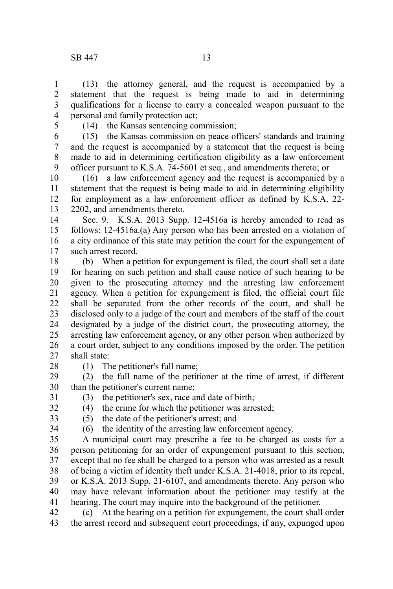(13) the attorney general, and the request is accompanied by a statement that the request is being made to aid in determining qualifications for a license to carry a concealed weapon pursuant to the personal and family protection act; 1 2 3 4

5

(14) the Kansas sentencing commission;

(15) the Kansas commission on peace officers' standards and training and the request is accompanied by a statement that the request is being made to aid in determining certification eligibility as a law enforcement officer pursuant to K.S.A. 74-5601 et seq*.*, and amendments thereto; or 6 7 8 9

(16) a law enforcement agency and the request is accompanied by a statement that the request is being made to aid in determining eligibility for employment as a law enforcement officer as defined by K.S.A. 22- 2202, and amendments thereto. 10 11 12 13

Sec. 9. K.S.A. 2013 Supp. 12-4516a is hereby amended to read as follows: 12-4516a.(a) Any person who has been arrested on a violation of a city ordinance of this state may petition the court for the expungement of such arrest record. 14 15 16 17

(b) When a petition for expungement is filed, the court shall set a date for hearing on such petition and shall cause notice of such hearing to be given to the prosecuting attorney and the arresting law enforcement agency. When a petition for expungement is filed, the official court file shall be separated from the other records of the court, and shall be disclosed only to a judge of the court and members of the staff of the court designated by a judge of the district court, the prosecuting attorney, the arresting law enforcement agency, or any other person when authorized by a court order, subject to any conditions imposed by the order. The petition shall state: 18 19 20 21 22 23 24 25 26 27

28

(1) The petitioner's full name;

(2) the full name of the petitioner at the time of arrest, if different than the petitioner's current name; 29 30

(3) the petitioner's sex, race and date of birth; 31

32 33

34

(4) the crime for which the petitioner was arrested; (5) the date of the petitioner's arrest; and

(6) the identity of the arresting law enforcement agency.

A municipal court may prescribe a fee to be charged as costs for a person petitioning for an order of expungement pursuant to this section, except that no fee shall be charged to a person who was arrested as a result of being a victim of identity theft under K.S.A. 21-4018, prior to its repeal, or K.S.A. 2013 Supp. 21-6107, and amendments thereto. Any person who may have relevant information about the petitioner may testify at the hearing. The court may inquire into the background of the petitioner. 35 36 37 38 39 40 41

(c) At the hearing on a petition for expungement, the court shall order the arrest record and subsequent court proceedings, if any, expunged upon 42 43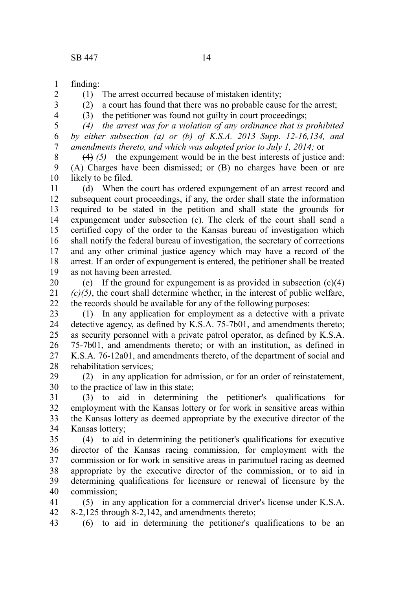finding: 1

2 3 4 (1) The arrest occurred because of mistaken identity;

(2) a court has found that there was no probable cause for the arrest;

(3) the petitioner was found not guilty in court proceedings;

*(4) the arrest was for a violation of any ordinance that is prohibited by either subsection (a) or (b) of K.S.A. 2013 Supp. 12-16,134, and amendments thereto, and which was adopted prior to July 1, 2014;* or 5 6 7

(4) *(5)* the expungement would be in the best interests of justice and: (A) Charges have been dismissed; or (B) no charges have been or are likely to be filed. 8 9 10

(d) When the court has ordered expungement of an arrest record and subsequent court proceedings, if any, the order shall state the information required to be stated in the petition and shall state the grounds for expungement under subsection (c). The clerk of the court shall send a certified copy of the order to the Kansas bureau of investigation which shall notify the federal bureau of investigation, the secretary of corrections and any other criminal justice agency which may have a record of the arrest. If an order of expungement is entered, the petitioner shall be treated as not having been arrested. 11 12 13 14 15 16 17 18 19

(e) If the ground for expungement is as provided in subsection  $(e)(4)$ *(c)(5)*, the court shall determine whether, in the interest of public welfare, the records should be available for any of the following purposes: 20 21 22

(1) In any application for employment as a detective with a private detective agency, as defined by K.S.A. 75-7b01, and amendments thereto; as security personnel with a private patrol operator, as defined by K.S.A. 75-7b01, and amendments thereto; or with an institution, as defined in K.S.A. 76-12a01, and amendments thereto, of the department of social and rehabilitation services; 23 24 25 26 27 28

(2) in any application for admission, or for an order of reinstatement, to the practice of law in this state; 29 30

(3) to aid in determining the petitioner's qualifications for employment with the Kansas lottery or for work in sensitive areas within the Kansas lottery as deemed appropriate by the executive director of the Kansas lottery; 31 32 33 34

(4) to aid in determining the petitioner's qualifications for executive director of the Kansas racing commission, for employment with the commission or for work in sensitive areas in parimutuel racing as deemed appropriate by the executive director of the commission, or to aid in determining qualifications for licensure or renewal of licensure by the commission; 35 36 37 38 39 40

(5) in any application for a commercial driver's license under K.S.A. 8-2,125 through 8-2,142, and amendments thereto; 41 42

(6) to aid in determining the petitioner's qualifications to be an 43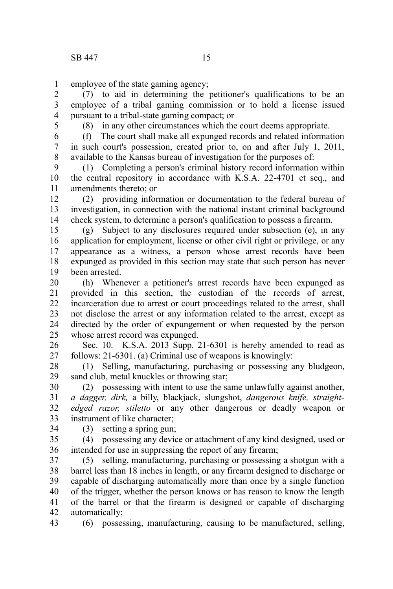employee of the state gaming agency; 1

(7) to aid in determining the petitioner's qualifications to be an employee of a tribal gaming commission or to hold a license issued pursuant to a tribal-state gaming compact; or 2 3 4

5

(8) in any other circumstances which the court deems appropriate.

(f) The court shall make all expunged records and related information in such court's possession, created prior to, on and after July 1, 2011, available to the Kansas bureau of investigation for the purposes of: 6 7 8

(1) Completing a person's criminal history record information within the central repository in accordance with K.S.A. 22-4701 et seq., and amendments thereto; or 9 10 11

(2) providing information or documentation to the federal bureau of investigation, in connection with the national instant criminal background check system, to determine a person's qualification to possess a firearm. 12 13 14

(g) Subject to any disclosures required under subsection (e), in any application for employment, license or other civil right or privilege, or any appearance as a witness, a person whose arrest records have been expunged as provided in this section may state that such person has never been arrested. 15 16 17 18 19

(h) Whenever a petitioner's arrest records have been expunged as provided in this section, the custodian of the records of arrest, incarceration due to arrest or court proceedings related to the arrest, shall not disclose the arrest or any information related to the arrest, except as directed by the order of expungement or when requested by the person whose arrest record was expunged. 20 21 22 23 24 25

Sec. 10. K.S.A. 2013 Supp. 21-6301 is hereby amended to read as follows: 21-6301. (a) Criminal use of weapons is knowingly: 26 27

(1) Selling, manufacturing, purchasing or possessing any bludgeon, sand club, metal knuckles or throwing star; 28 29

(2) possessing with intent to use the same unlawfully against another, *a dagger, dirk,* a billy, blackjack, slungshot, *dangerous knife, straightedged razor, stiletto* or any other dangerous or deadly weapon or instrument of like character; 30 31 32 33

34

(3) setting a spring gun;

(4) possessing any device or attachment of any kind designed, used or intended for use in suppressing the report of any firearm; 35 36

(5) selling, manufacturing, purchasing or possessing a shotgun with a barrel less than 18 inches in length, or any firearm designed to discharge or capable of discharging automatically more than once by a single function of the trigger, whether the person knows or has reason to know the length of the barrel or that the firearm is designed or capable of discharging automatically; 37 38 39 40 41 42

(6) possessing, manufacturing, causing to be manufactured, selling, 43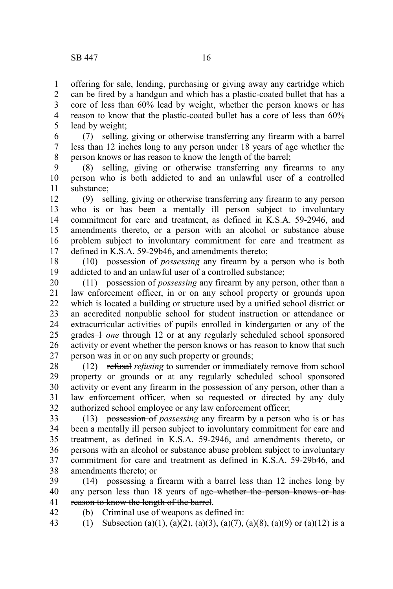offering for sale, lending, purchasing or giving away any cartridge which can be fired by a handgun and which has a plastic-coated bullet that has a core of less than 60% lead by weight, whether the person knows or has reason to know that the plastic-coated bullet has a core of less than 60% lead by weight; 1 2 3 4 5

(7) selling, giving or otherwise transferring any firearm with a barrel less than 12 inches long to any person under 18 years of age whether the person knows or has reason to know the length of the barrel; 6 7 8

(8) selling, giving or otherwise transferring any firearms to any person who is both addicted to and an unlawful user of a controlled substance; 9 10 11

(9) selling, giving or otherwise transferring any firearm to any person who is or has been a mentally ill person subject to involuntary commitment for care and treatment, as defined in K.S.A. 59-2946, and amendments thereto, or a person with an alcohol or substance abuse problem subject to involuntary commitment for care and treatment as defined in K.S.A. 59-29b46, and amendments thereto; 12 13 14 15 16 17

(10) possession of *possessing* any firearm by a person who is both addicted to and an unlawful user of a controlled substance; 18 19

(11) possession of *possessing* any firearm by any person, other than a law enforcement officer, in or on any school property or grounds upon which is located a building or structure used by a unified school district or an accredited nonpublic school for student instruction or attendance or extracurricular activities of pupils enrolled in kindergarten or any of the grades 1 *one* through 12 or at any regularly scheduled school sponsored activity or event whether the person knows or has reason to know that such person was in or on any such property or grounds; 20 21 22 23 24 25 26 27

(12) refusal *refusing* to surrender or immediately remove from school property or grounds or at any regularly scheduled school sponsored activity or event any firearm in the possession of any person, other than a law enforcement officer, when so requested or directed by any duly authorized school employee or any law enforcement officer; 28 29 30 31 32

(13) possession of *possessing* any firearm by a person who is or has been a mentally ill person subject to involuntary commitment for care and treatment, as defined in K.S.A. 59-2946, and amendments thereto, or persons with an alcohol or substance abuse problem subject to involuntary commitment for care and treatment as defined in K.S.A. 59-29b46, and amendments thereto; or 33 34 35 36 37 38

(14) possessing a firearm with a barrel less than 12 inches long by any person less than 18 years of age-whether the person knows or hasreason to know the length of the barrel. 39 40 41

(b) Criminal use of weapons as defined in: 42

(1) Subsection (a)(1), (a)(2), (a)(3), (a)(7), (a)(8), (a)(9) or (a)(12) is a 43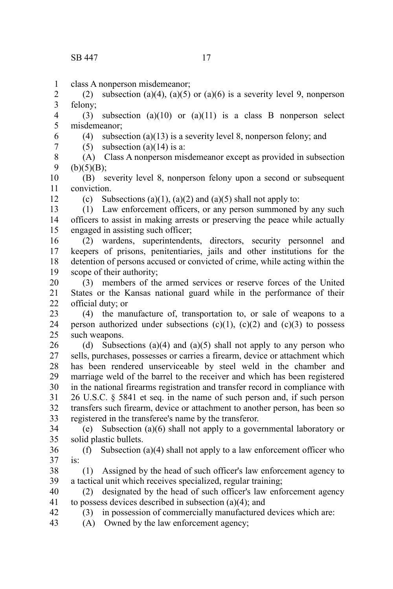class A nonperson misdemeanor; 1

(2) subsection (a)(4), (a)(5) or (a)(6) is a severity level 9, nonperson felony; 2 3

(3) subsection (a)(10) or (a)(11) is a class B nonperson select misdemeanor; 4 5

- (4) subsection (a)(13) is a severity level 8, nonperson felony; and 6
- 7

12

(5) subsection (a)(14) is a:

(A) Class A nonperson misdemeanor except as provided in subsection  $(b)(5)(B);$ 8 9

(B) severity level 8, nonperson felony upon a second or subsequent conviction. 10 11

(c) Subsections (a)(1), (a)(2) and (a)(5) shall not apply to:

(1) Law enforcement officers, or any person summoned by any such officers to assist in making arrests or preserving the peace while actually engaged in assisting such officer; 13 14 15

(2) wardens, superintendents, directors, security personnel and keepers of prisons, penitentiaries, jails and other institutions for the detention of persons accused or convicted of crime, while acting within the scope of their authority; 16 17 18 19

(3) members of the armed services or reserve forces of the United States or the Kansas national guard while in the performance of their official duty; or 20 21 22

(4) the manufacture of, transportation to, or sale of weapons to a person authorized under subsections  $(c)(1)$ ,  $(c)(2)$  and  $(c)(3)$  to possess such weapons. 23 24 25

(d) Subsections (a)(4) and (a)(5) shall not apply to any person who sells, purchases, possesses or carries a firearm, device or attachment which has been rendered unserviceable by steel weld in the chamber and marriage weld of the barrel to the receiver and which has been registered in the national firearms registration and transfer record in compliance with 26 U.S.C. § 5841 et seq. in the name of such person and, if such person transfers such firearm, device or attachment to another person, has been so registered in the transferee's name by the transferor. 26 27 28 29 30 31 32 33

(e) Subsection (a)(6) shall not apply to a governmental laboratory or solid plastic bullets. 34 35

(f) Subsection (a)(4) shall not apply to a law enforcement officer who is: 36 37

(1) Assigned by the head of such officer's law enforcement agency to a tactical unit which receives specialized, regular training; 38 39

(2) designated by the head of such officer's law enforcement agency to possess devices described in subsection (a)(4); and 40 41

(3) in possession of commercially manufactured devices which are:

- (A) Owned by the law enforcement agency;
- 42 43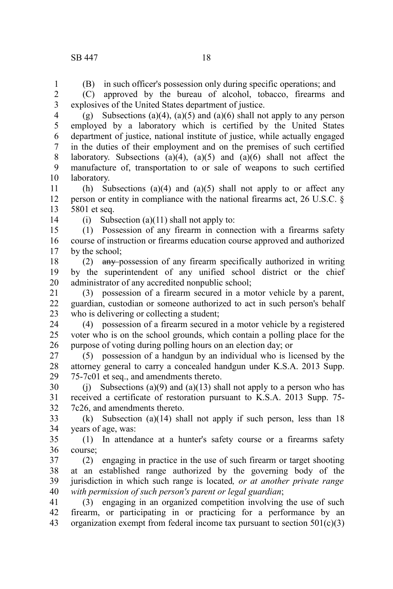(B) in such officer's possession only during specific operations; and

(C) approved by the bureau of alcohol, tobacco, firearms and explosives of the United States department of justice. 2 3

(g) Subsections (a)(4), (a)(5) and (a)(6) shall not apply to any person employed by a laboratory which is certified by the United States department of justice, national institute of justice, while actually engaged in the duties of their employment and on the premises of such certified laboratory. Subsections  $(a)(4)$ ,  $(a)(5)$  and  $(a)(6)$  shall not affect the manufacture of, transportation to or sale of weapons to such certified laboratory. 4 5 6 7 8 9 10

(h) Subsections (a)(4) and (a)(5) shall not apply to or affect any person or entity in compliance with the national firearms act, 26 U.S.C. § 5801 et seq. 11 12 13

14

(i) Subsection (a)(11) shall not apply to:

(1) Possession of any firearm in connection with a firearms safety course of instruction or firearms education course approved and authorized by the school; 15 16 17

(2) any possession of any firearm specifically authorized in writing by the superintendent of any unified school district or the chief administrator of any accredited nonpublic school; 18 19 20

(3) possession of a firearm secured in a motor vehicle by a parent, guardian, custodian or someone authorized to act in such person's behalf who is delivering or collecting a student: 21 22 23

(4) possession of a firearm secured in a motor vehicle by a registered voter who is on the school grounds, which contain a polling place for the purpose of voting during polling hours on an election day; or 24 25 26

(5) possession of a handgun by an individual who is licensed by the attorney general to carry a concealed handgun under K.S.A. 2013 Supp. 75-7c01 et seq., and amendments thereto. 27 28 29

(i) Subsections (a)(9) and (a)(13) shall not apply to a person who has received a certificate of restoration pursuant to K.S.A. 2013 Supp. 75- 7c26, and amendments thereto. 30 31 32

(k) Subsection (a)(14) shall not apply if such person, less than 18 years of age, was: 33 34

(1) In attendance at a hunter's safety course or a firearms safety course; 35 36

(2) engaging in practice in the use of such firearm or target shooting at an established range authorized by the governing body of the jurisdiction in which such range is located*, or at another private range with permission of such person's parent or legal guardian*; 37 38 39 40

(3) engaging in an organized competition involving the use of such firearm, or participating in or practicing for a performance by an organization exempt from federal income tax pursuant to section  $501(c)(3)$ 41 42 43

1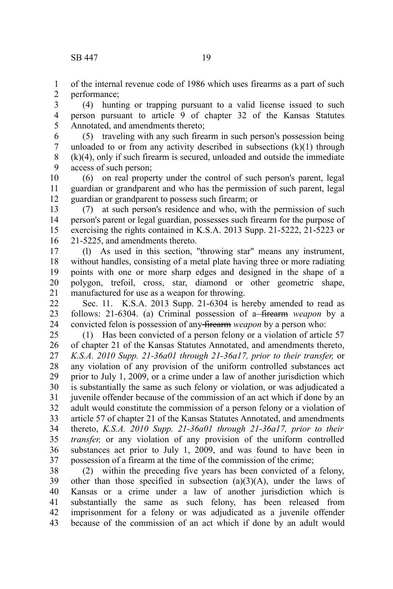of the internal revenue code of 1986 which uses firearms as a part of such performance; 1 2

(4) hunting or trapping pursuant to a valid license issued to such person pursuant to article 9 of chapter 32 of the Kansas Statutes Annotated, and amendments thereto; 3 4 5

(5) traveling with any such firearm in such person's possession being unloaded to or from any activity described in subsections  $(k)(1)$  through (k)(4), only if such firearm is secured, unloaded and outside the immediate access of such person; 6 7 8 9

(6) on real property under the control of such person's parent, legal guardian or grandparent and who has the permission of such parent, legal guardian or grandparent to possess such firearm; or 10 11 12

(7) at such person's residence and who, with the permission of such person's parent or legal guardian, possesses such firearm for the purpose of exercising the rights contained in K.S.A. 2013 Supp. 21-5222, 21-5223 or 21-5225, and amendments thereto. 13 14 15 16

(l) As used in this section, "throwing star" means any instrument, without handles, consisting of a metal plate having three or more radiating points with one or more sharp edges and designed in the shape of a polygon, trefoil, cross, star, diamond or other geometric shape, manufactured for use as a weapon for throwing. 17 18 19 20 21

Sec. 11. K.S.A. 2013 Supp. 21-6304 is hereby amended to read as follows: 21-6304. (a) Criminal possession of a firearm *weapon* by a convicted felon is possession of any firearm *weapon* by a person who: 22 23 24

(1) Has been convicted of a person felony or a violation of article 57 of chapter 21 of the Kansas Statutes Annotated, and amendments thereto, *K.S.A. 2010 Supp. 21-36a01 through 21-36a17, prior to their transfer,* or any violation of any provision of the uniform controlled substances act prior to July 1, 2009, or a crime under a law of another jurisdiction which is substantially the same as such felony or violation, or was adjudicated a juvenile offender because of the commission of an act which if done by an adult would constitute the commission of a person felony or a violation of article 57 of chapter 21 of the Kansas Statutes Annotated, and amendments thereto, *K.S.A. 2010 Supp. 21-36a01 through 21-36a17, prior to their transfer,* or any violation of any provision of the uniform controlled substances act prior to July 1, 2009, and was found to have been in possession of a firearm at the time of the commission of the crime; 25 26 27 28 29 30 31 32 33 34 35 36 37

(2) within the preceding five years has been convicted of a felony, other than those specified in subsection  $(a)(3)(A)$ , under the laws of Kansas or a crime under a law of another jurisdiction which is substantially the same as such felony, has been released from imprisonment for a felony or was adjudicated as a juvenile offender because of the commission of an act which if done by an adult would 38 39 40 41 42 43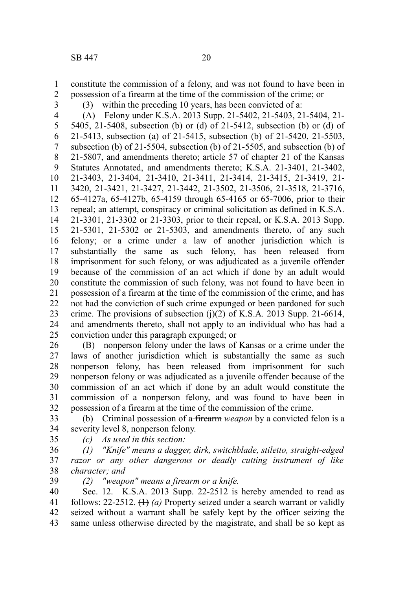constitute the commission of a felony, and was not found to have been in possession of a firearm at the time of the commission of the crime; or 1 2

3

(3) within the preceding 10 years, has been convicted of a:

(A) Felony under K.S.A. 2013 Supp. 21-5402, 21-5403, 21-5404, 21- 5405, 21-5408, subsection (b) or (d) of 21-5412, subsection (b) or (d) of 21-5413, subsection (a) of 21-5415, subsection (b) of 21-5420, 21-5503, subsection (b) of 21-5504, subsection (b) of 21-5505, and subsection (b) of 21-5807, and amendments thereto; article 57 of chapter 21 of the Kansas Statutes Annotated, and amendments thereto; K.S.A. 21-3401, 21-3402, 21-3403, 21-3404, 21-3410, 21-3411, 21-3414, 21-3415, 21-3419, 21- 3420, 21-3421, 21-3427, 21-3442, 21-3502, 21-3506, 21-3518, 21-3716, 65-4127a, 65-4127b, 65-4159 through 65-4165 or 65-7006, prior to their repeal; an attempt, conspiracy or criminal solicitation as defined in K.S.A. 21-3301, 21-3302 or 21-3303, prior to their repeal, or K.S.A. 2013 Supp. 21-5301, 21-5302 or 21-5303, and amendments thereto, of any such felony; or a crime under a law of another jurisdiction which is substantially the same as such felony, has been released from imprisonment for such felony, or was adjudicated as a juvenile offender because of the commission of an act which if done by an adult would constitute the commission of such felony, was not found to have been in possession of a firearm at the time of the commission of the crime, and has not had the conviction of such crime expunged or been pardoned for such crime. The provisions of subsection  $(i)(2)$  of K.S.A. 2013 Supp. 21-6614, and amendments thereto, shall not apply to an individual who has had a conviction under this paragraph expunged; or 4 5 6 7 8 9 10 11 12 13 14 15 16 17 18 19 20 21 22 23 24 25

(B) nonperson felony under the laws of Kansas or a crime under the laws of another jurisdiction which is substantially the same as such nonperson felony, has been released from imprisonment for such nonperson felony or was adjudicated as a juvenile offender because of the commission of an act which if done by an adult would constitute the commission of a nonperson felony, and was found to have been in possession of a firearm at the time of the commission of the crime. 26 27 28 29 30 31 32

(b) Criminal possession of a firearm *weapon* by a convicted felon is a severity level 8, nonperson felony. 33 34

35

*(c) As used in this section:*

*(1) "Knife" means a dagger, dirk, switchblade, stiletto, straight-edged razor or any other dangerous or deadly cutting instrument of like character; and* 36 37 38

*(2) "weapon" means a firearm or a knife.* 39

Sec. 12. K.S.A. 2013 Supp. 22-2512 is hereby amended to read as follows: 22-2512. (1) *(a)* Property seized under a search warrant or validly seized without a warrant shall be safely kept by the officer seizing the same unless otherwise directed by the magistrate, and shall be so kept as 40 41 42 43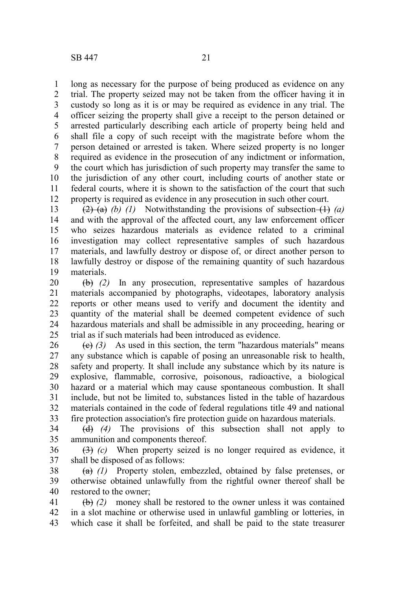long as necessary for the purpose of being produced as evidence on any trial. The property seized may not be taken from the officer having it in custody so long as it is or may be required as evidence in any trial. The officer seizing the property shall give a receipt to the person detained or arrested particularly describing each article of property being held and shall file a copy of such receipt with the magistrate before whom the person detained or arrested is taken. Where seized property is no longer required as evidence in the prosecution of any indictment or information, the court which has jurisdiction of such property may transfer the same to the jurisdiction of any other court, including courts of another state or

federal courts, where it is shown to the satisfaction of the court that such property is required as evidence in any prosecution in such other court.  $(2)$  (a) *(b) (1)* Notwithstanding the provisions of subsection  $(1)$  *(a)* and with the approval of the affected court, any law enforcement officer who seizes hazardous materials as evidence related to a criminal investigation may collect representative samples of such hazardous materials, and lawfully destroy or dispose of, or direct another person to lawfully destroy or dispose of the remaining quantity of such hazardous 11 12 13 14 15 16 17 18

materials. 19

(b) *(2)* In any prosecution, representative samples of hazardous materials accompanied by photographs, videotapes, laboratory analysis reports or other means used to verify and document the identity and quantity of the material shall be deemed competent evidence of such hazardous materials and shall be admissible in any proceeding, hearing or trial as if such materials had been introduced as evidence. 20 21 22 23 24 25

 $(e)$   $(3)$  As used in this section, the term "hazardous materials" means any substance which is capable of posing an unreasonable risk to health, safety and property. It shall include any substance which by its nature is explosive, flammable, corrosive, poisonous, radioactive, a biological hazard or a material which may cause spontaneous combustion. It shall include, but not be limited to, substances listed in the table of hazardous materials contained in the code of federal regulations title 49 and national fire protection association's fire protection guide on hazardous materials. 26 27 28 29 30 31 32 33

(d) *(4)* The provisions of this subsection shall not apply to ammunition and components thereof. 34 35

(3) *(c)* When property seized is no longer required as evidence, it shall be disposed of as follows: 36 37

(a) *(1)* Property stolen, embezzled, obtained by false pretenses, or otherwise obtained unlawfully from the rightful owner thereof shall be restored to the owner; 38 39 40

(b) *(2)* money shall be restored to the owner unless it was contained in a slot machine or otherwise used in unlawful gambling or lotteries, in which case it shall be forfeited, and shall be paid to the state treasurer 41 42 43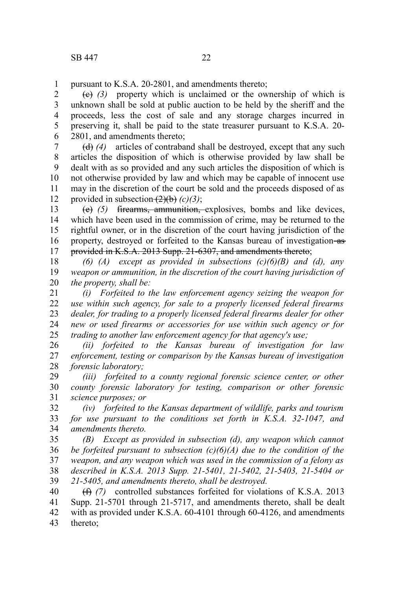pursuant to K.S.A. 20-2801, and amendments thereto; 1

(c) *(3)* property which is unclaimed or the ownership of which is unknown shall be sold at public auction to be held by the sheriff and the proceeds, less the cost of sale and any storage charges incurred in preserving it, shall be paid to the state treasurer pursuant to K.S.A. 20- 2801, and amendments thereto; 2 3 4 5 6

(d) *(4)* articles of contraband shall be destroyed, except that any such articles the disposition of which is otherwise provided by law shall be dealt with as so provided and any such articles the disposition of which is not otherwise provided by law and which may be capable of innocent use may in the discretion of the court be sold and the proceeds disposed of as provided in subsection  $(2)(b)$  *(c)*(3); 7 8 9 10 11 12

(e) *(5)* firearms, ammunition, explosives, bombs and like devices, which have been used in the commission of crime, may be returned to the rightful owner, or in the discretion of the court having jurisdiction of the property, destroyed or forfeited to the Kansas bureau of investigation-asprovided in K.S.A. 2013 Supp. 21-6307, and amendments thereto; 13 14 15 16 17

*(6) (A) except as provided in subsections (c)(6)(B) and (d), any weapon or ammunition, in the discretion of the court having jurisdiction of the property, shall be:* 18 19 20

*(i) Forfeited to the law enforcement agency seizing the weapon for use within such agency, for sale to a properly licensed federal firearms dealer, for trading to a properly licensed federal firearms dealer for other new or used firearms or accessories for use within such agency or for trading to another law enforcement agency for that agency's use;* 21 22 23 24 25

*(ii) forfeited to the Kansas bureau of investigation for law enforcement, testing or comparison by the Kansas bureau of investigation forensic laboratory;* 26 27 28

*(iii) forfeited to a county regional forensic science center, or other county forensic laboratory for testing, comparison or other forensic science purposes; or* 29 30 31

*(iv) forfeited to the Kansas department of wildlife, parks and tourism for use pursuant to the conditions set forth in K.S.A. 32-1047, and amendments thereto.* 32 33 34

*(B) Except as provided in subsection (d), any weapon which cannot be forfeited pursuant to subsection (c)(6)(A) due to the condition of the weapon, and any weapon which was used in the commission of a felony as described in K.S.A. 2013 Supp. 21-5401, 21-5402, 21-5403, 21-5404 or 21-5405, and amendments thereto, shall be destroyed.* 35 36 37 38 39

(f) *(7)* controlled substances forfeited for violations of K.S.A. 2013 Supp. 21-5701 through 21-5717, and amendments thereto, shall be dealt with as provided under K.S.A. 60-4101 through 60-4126, and amendments thereto; 40 41 42 43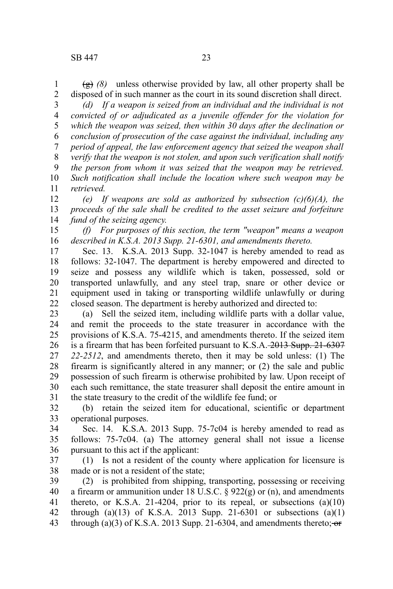$\left(\frac{g}{g}\right)$  *(8)* unless otherwise provided by law, all other property shall be disposed of in such manner as the court in its sound discretion shall direct. 1 2

*(d) If a weapon is seized from an individual and the individual is not convicted of or adjudicated as a juvenile offender for the violation for which the weapon was seized, then within 30 days after the declination or conclusion of prosecution of the case against the individual, including any period of appeal, the law enforcement agency that seized the weapon shall verify that the weapon is not stolen, and upon such verification shall notify the person from whom it was seized that the weapon may be retrieved. Such notification shall include the location where such weapon may be retrieved.* 3 4 5 6 7 8 9 10 11

*(e) If weapons are sold as authorized by subsection (c)(6)(A), the proceeds of the sale shall be credited to the asset seizure and forfeiture fund of the seizing agency.* 12 13 14

*(f) For purposes of this section, the term "weapon" means a weapon described in K.S.A. 2013 Supp. 21-6301, and amendments thereto.* 15 16

Sec. 13. K.S.A. 2013 Supp. 32-1047 is hereby amended to read as follows: 32-1047. The department is hereby empowered and directed to seize and possess any wildlife which is taken, possessed, sold or transported unlawfully, and any steel trap, snare or other device or equipment used in taking or transporting wildlife unlawfully or during closed season. The department is hereby authorized and directed to: 17 18 19 20 21 22

(a) Sell the seized item, including wildlife parts with a dollar value, and remit the proceeds to the state treasurer in accordance with the provisions of K.S.A. 75-4215, and amendments thereto. If the seized item is a firearm that has been forfeited pursuant to K.S.A. 2013 Supp. 21-6307 *22-2512*, and amendments thereto, then it may be sold unless: (1) The firearm is significantly altered in any manner; or (2) the sale and public possession of such firearm is otherwise prohibited by law. Upon receipt of each such remittance, the state treasurer shall deposit the entire amount in the state treasury to the credit of the wildlife fee fund; or 23 24 25 26 27 28 29 30 31

(b) retain the seized item for educational, scientific or department operational purposes. 32 33

Sec. 14. K.S.A. 2013 Supp. 75-7c04 is hereby amended to read as follows: 75-7c04. (a) The attorney general shall not issue a license pursuant to this act if the applicant: 34 35 36

(1) Is not a resident of the county where application for licensure is made or is not a resident of the state; 37 38

(2) is prohibited from shipping, transporting, possessing or receiving a firearm or ammunition under 18 U.S.C.  $\S$  922(g) or (n), and amendments thereto, or K.S.A. 21-4204, prior to its repeal, or subsections  $(a)(10)$ through (a)(13) of K.S.A. 2013 Supp. 21-6301 or subsections (a)(1) through (a)(3) of K.S.A. 2013 Supp. 21-6304, and amendments thereto;  $\overrightarrow{or}$ 39 40 41 42 43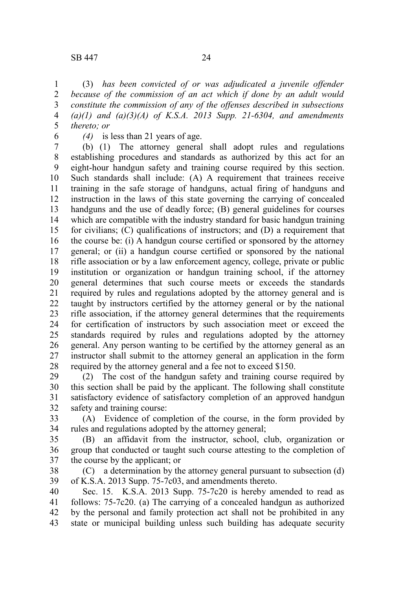(3) *has been convicted of or was adjudicated a juvenile offender because of the commission of an act which if done by an adult would constitute the commission of any of the offenses described in subsections (a)(1) and (a)(3)(A) of K.S.A. 2013 Supp. 21-6304, and amendments thereto; or* 1 2 3 4 5

6

*(4)* is less than 21 years of age.

(b) (1) The attorney general shall adopt rules and regulations establishing procedures and standards as authorized by this act for an eight-hour handgun safety and training course required by this section. Such standards shall include: (A) A requirement that trainees receive training in the safe storage of handguns, actual firing of handguns and instruction in the laws of this state governing the carrying of concealed handguns and the use of deadly force; (B) general guidelines for courses which are compatible with the industry standard for basic handgun training for civilians; (C) qualifications of instructors; and (D) a requirement that the course be: (i) A handgun course certified or sponsored by the attorney general; or (ii) a handgun course certified or sponsored by the national rifle association or by a law enforcement agency, college, private or public institution or organization or handgun training school, if the attorney general determines that such course meets or exceeds the standards required by rules and regulations adopted by the attorney general and is taught by instructors certified by the attorney general or by the national rifle association, if the attorney general determines that the requirements for certification of instructors by such association meet or exceed the standards required by rules and regulations adopted by the attorney general. Any person wanting to be certified by the attorney general as an instructor shall submit to the attorney general an application in the form required by the attorney general and a fee not to exceed \$150. 7 8 9 10 11 12 13 14 15 16 17 18 19 20 21 22 23 24 25 26 27 28

(2) The cost of the handgun safety and training course required by this section shall be paid by the applicant. The following shall constitute satisfactory evidence of satisfactory completion of an approved handgun safety and training course: 29 30 31 32

(A) Evidence of completion of the course, in the form provided by rules and regulations adopted by the attorney general; 33 34

(B) an affidavit from the instructor, school, club, organization or group that conducted or taught such course attesting to the completion of the course by the applicant; or 35 36 37

(C) a determination by the attorney general pursuant to subsection (d) of K.S.A. 2013 Supp. 75-7c03, and amendments thereto. 38 39

Sec. 15. K.S.A. 2013 Supp. 75-7c20 is hereby amended to read as follows: 75-7c20. (a) The carrying of a concealed handgun as authorized by the personal and family protection act shall not be prohibited in any state or municipal building unless such building has adequate security 40 41 42 43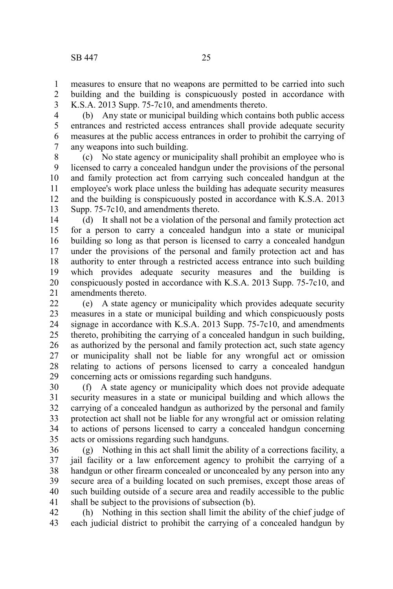measures to ensure that no weapons are permitted to be carried into such building and the building is conspicuously posted in accordance with K.S.A. 2013 Supp. 75-7c10, and amendments thereto. 1 2 3

(b) Any state or municipal building which contains both public access entrances and restricted access entrances shall provide adequate security measures at the public access entrances in order to prohibit the carrying of any weapons into such building. 4 5 6 7

(c) No state agency or municipality shall prohibit an employee who is licensed to carry a concealed handgun under the provisions of the personal and family protection act from carrying such concealed handgun at the employee's work place unless the building has adequate security measures and the building is conspicuously posted in accordance with K.S.A. 2013 Supp. 75-7c10, and amendments thereto. 8 9 10 11 12 13

(d) It shall not be a violation of the personal and family protection act for a person to carry a concealed handgun into a state or municipal building so long as that person is licensed to carry a concealed handgun under the provisions of the personal and family protection act and has authority to enter through a restricted access entrance into such building which provides adequate security measures and the building is conspicuously posted in accordance with K.S.A. 2013 Supp. 75-7c10, and amendments thereto. 14 15 16 17 18 19 20 21

(e) A state agency or municipality which provides adequate security measures in a state or municipal building and which conspicuously posts signage in accordance with K.S.A. 2013 Supp. 75-7c10, and amendments thereto, prohibiting the carrying of a concealed handgun in such building, as authorized by the personal and family protection act, such state agency or municipality shall not be liable for any wrongful act or omission relating to actions of persons licensed to carry a concealed handgun concerning acts or omissions regarding such handguns. 22 23 24 25 26 27 28 29

(f) A state agency or municipality which does not provide adequate security measures in a state or municipal building and which allows the carrying of a concealed handgun as authorized by the personal and family protection act shall not be liable for any wrongful act or omission relating to actions of persons licensed to carry a concealed handgun concerning acts or omissions regarding such handguns. 30 31 32 33 34 35

(g) Nothing in this act shall limit the ability of a corrections facility, a jail facility or a law enforcement agency to prohibit the carrying of a handgun or other firearm concealed or unconcealed by any person into any secure area of a building located on such premises, except those areas of such building outside of a secure area and readily accessible to the public shall be subject to the provisions of subsection (b). 36 37 38 39 40 41

(h) Nothing in this section shall limit the ability of the chief judge of each judicial district to prohibit the carrying of a concealed handgun by 42 43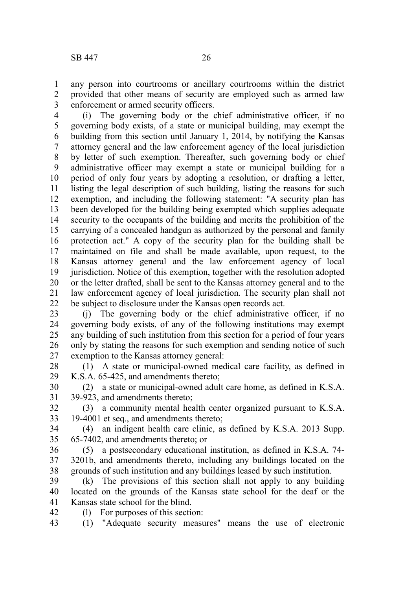any person into courtrooms or ancillary courtrooms within the district provided that other means of security are employed such as armed law enforcement or armed security officers. 1 2 3

(i) The governing body or the chief administrative officer, if no governing body exists, of a state or municipal building, may exempt the building from this section until January 1, 2014, by notifying the Kansas attorney general and the law enforcement agency of the local jurisdiction by letter of such exemption. Thereafter, such governing body or chief administrative officer may exempt a state or municipal building for a period of only four years by adopting a resolution, or drafting a letter, listing the legal description of such building, listing the reasons for such exemption, and including the following statement: "A security plan has been developed for the building being exempted which supplies adequate security to the occupants of the building and merits the prohibition of the carrying of a concealed handgun as authorized by the personal and family protection act." A copy of the security plan for the building shall be maintained on file and shall be made available, upon request, to the Kansas attorney general and the law enforcement agency of local jurisdiction. Notice of this exemption, together with the resolution adopted or the letter drafted, shall be sent to the Kansas attorney general and to the law enforcement agency of local jurisdiction. The security plan shall not be subject to disclosure under the Kansas open records act. 4 5 6 7 8 9 10 11 12 13 14 15 16 17 18 19 20 21 22

(j) The governing body or the chief administrative officer, if no governing body exists, of any of the following institutions may exempt any building of such institution from this section for a period of four years only by stating the reasons for such exemption and sending notice of such exemption to the Kansas attorney general: 23 24 25 26 27

(1) A state or municipal-owned medical care facility, as defined in K.S.A. 65-425, and amendments thereto; 28 29

(2) a state or municipal-owned adult care home, as defined in K.S.A. 39-923, and amendments thereto; 30 31

(3) a community mental health center organized pursuant to K.S.A. 19-4001 et seq., and amendments thereto; 32 33

(4) an indigent health care clinic, as defined by K.S.A. 2013 Supp. 65-7402, and amendments thereto; or 34 35

(5) a postsecondary educational institution, as defined in K.S.A. 74- 3201b, and amendments thereto, including any buildings located on the grounds of such institution and any buildings leased by such institution. 36 37 38

(k) The provisions of this section shall not apply to any building located on the grounds of the Kansas state school for the deaf or the Kansas state school for the blind. 39 40 41

(l) For purposes of this section: 42

(1) "Adequate security measures" means the use of electronic 43